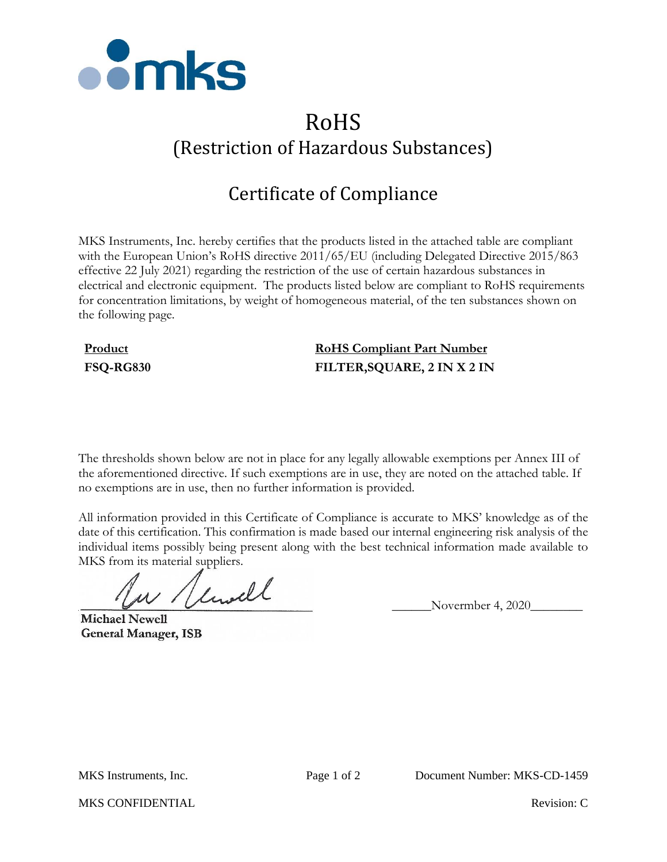

# RoHS (Restriction of Hazardous Substances)

# Certificate of Compliance

MKS Instruments, Inc. hereby certifies that the products listed in the attached table are compliant with the European Union's RoHS directive 2011/65/EU (including Delegated Directive 2015/863 effective 22 July 2021) regarding the restriction of the use of certain hazardous substances in electrical and electronic equipment. The products listed below are compliant to RoHS requirements for concentration limitations, by weight of homogeneous material, of the ten substances shown on the following page.

## **Product RoHS Compliant Part Number FSQ-RG830 FILTER,SQUARE, 2 IN X 2 IN**

The thresholds shown below are not in place for any legally allowable exemptions per Annex III of the aforementioned directive. If such exemptions are in use, they are noted on the attached table. If no exemptions are in use, then no further information is provided.

All information provided in this Certificate of Compliance is accurate to MKS' knowledge as of the date of this certification. This confirmation is made based our internal engineering risk analysis of the individual items possibly being present along with the best technical information made available to MKS from its material suppliers.

 $\mu$  / limitle Novermber 4, 2020

**Michael Newell General Manager, ISB** 

MKS CONFIDENTIAL **Revision:** C